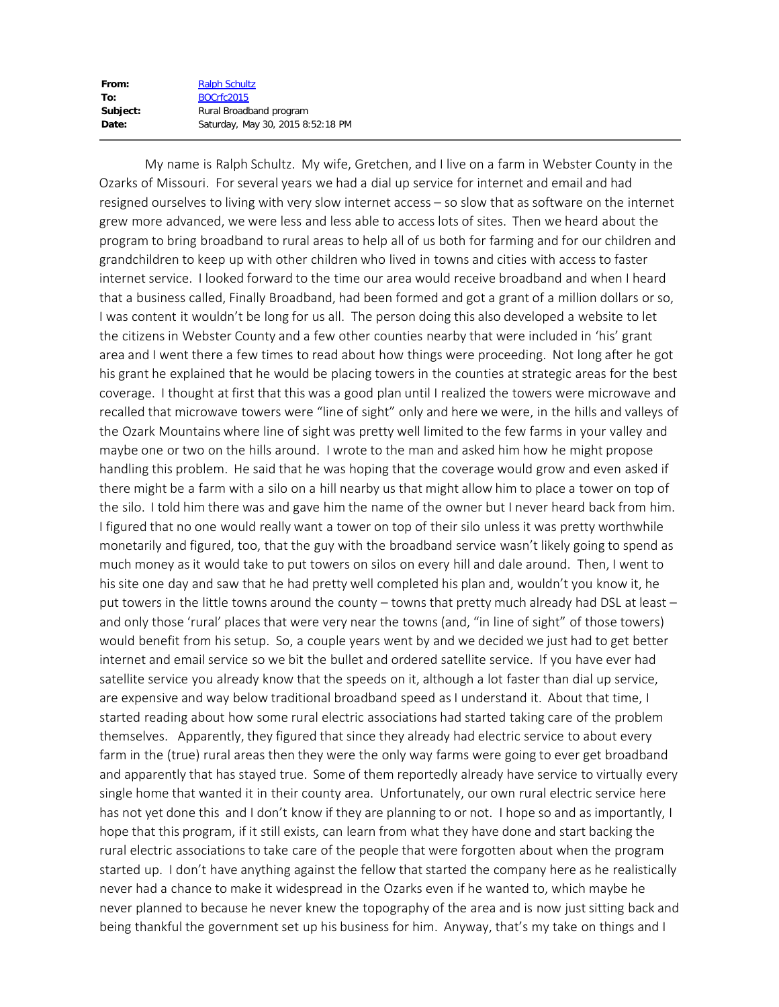| From:    | <b>Ralph Schultz</b>              |
|----------|-----------------------------------|
| To:      | BOCrfc2015                        |
| Subject: | Rural Broadband program           |
| Date:    | Saturday, May 30, 2015 8:52:18 PM |

 My name is Ralph Schultz. My wife, Gretchen, and I live on a farm in Webster County in the Ozarks of Missouri. For several years we had a dial up service for internet and email and had resigned ourselves to living with very slow internet access – so slow that as software on the internet grew more advanced, we were less and less able to access lots of sites. Then we heard about the program to bring broadband to rural areas to help all of us both for farming and for our children and grandchildren to keep up with other children who lived in towns and cities with access to faster internet service. I looked forward to the time our area would receive broadband and when I heard that a business called, Finally Broadband, had been formed and got a grant of a million dollars or so, I was content it wouldn't be long for us all. The person doing this also developed a website to let the citizens in Webster County and a few other counties nearby that were included in 'his' grant area and I went there a few times to read about how things were proceeding. Not long after he got his grant he explained that he would be placing towers in the counties at strategic areas for the best coverage. I thought at first that this was a good plan until I realized the towers were microwave and recalled that microwave towers were "line of sight" only and here we were, in the hills and valleys of the Ozark Mountains where line of sight was pretty well limited to the few farms in your valley and maybe one or two on the hills around. I wrote to the man and asked him how he might propose handling this problem. He said that he was hoping that the coverage would grow and even asked if there might be a farm with a silo on a hill nearby us that might allow him to place a tower on top of the silo. I told him there was and gave him the name of the owner but I never heard back from him. I figured that no one would really want a tower on top of their silo unless it was pretty worthwhile monetarily and figured, too, that the guy with the broadband service wasn't likely going to spend as much money as it would take to put towers on silos on every hill and dale around. Then, I went to his site one day and saw that he had pretty well completed his plan and, wouldn't you know it, he put towers in the little towns around the county – towns that pretty much already had DSL at least – and only those 'rural' places that were very near the towns (and, "in line of sight" of those towers) would benefit from his setup. So, a couple years went by and we decided we just had to get better internet and email service so we bit the bullet and ordered satellite service. If you have ever had satellite service you already know that the speeds on it, although a lot faster than dial up service, are expensive and way below traditional broadband speed as I understand it. About that time, I started reading about how some rural electric associations had started taking care of the problem themselves. Apparently, they figured that since they already had electric service to about every farm in the (true) rural areas then they were the only way farms were going to ever get broadband and apparently that has stayed true. Some of them reportedly already have service to virtually every single home that wanted it in their county area. Unfortunately, our own rural electric service here has not yet done this and I don't know if they are planning to or not. I hope so and as importantly, I hope that this program, if it still exists, can learn from what they have done and start backing the rural electric associations to take care of the people that were forgotten about when the program started up. I don't have anything against the fellow that started the company here as he realistically never had a chance to make it widespread in the Ozarks even if he wanted to, which maybe he never planned to because he never knew the topography of the area and is now just sitting back and being thankful the government set up his business for him. Anyway, that's my take on things and I